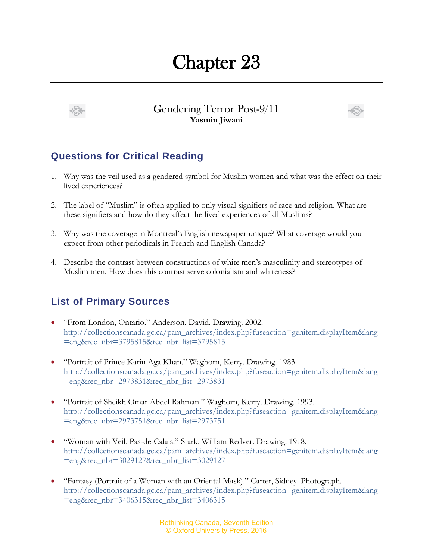## Chapter 23



Gendering Terror Post-9/11 **Yasmin Jiwani**



## **Questions for Critical Reading**

- 1. Why was the veil used as a gendered symbol for Muslim women and what was the effect on their lived experiences?
- 2. The label of "Muslim" is often applied to only visual signifiers of race and religion. What are these signifiers and how do they affect the lived experiences of all Muslims?
- 3. Why was the coverage in Montreal's English newspaper unique? What coverage would you expect from other periodicals in French and English Canada?
- 4. Describe the contrast between constructions of white men's masculinity and stereotypes of Muslim men. How does this contrast serve colonialism and whiteness?

## **List of Primary Sources**

- "From London, Ontario." Anderson, David. Drawing. 2002. [http://collectionscanada.gc.ca/pam\\_archives/index.php?fuseaction=genitem.displayItem&lang](http://collectionscanada.gc.ca/pam_archives/index.php?fuseaction=genitem.displayItem&lang=eng&rec_nbr=3795815&rec_nbr_list=3795815) [=eng&rec\\_nbr=3795815&rec\\_nbr\\_list=3795815](http://collectionscanada.gc.ca/pam_archives/index.php?fuseaction=genitem.displayItem&lang=eng&rec_nbr=3795815&rec_nbr_list=3795815)
- "Portrait of Prince Karin Aga Khan." Waghorn, Kerry. Drawing. 1983. [http://collectionscanada.gc.ca/pam\\_archives/index.php?fuseaction=genitem.displayItem&lang](http://collectionscanada.gc.ca/pam_archives/index.php?fuseaction=genitem.displayItem&lang=eng&rec_nbr=2973831&rec_nbr_list=2973831) [=eng&rec\\_nbr=2973831&rec\\_nbr\\_list=2973831](http://collectionscanada.gc.ca/pam_archives/index.php?fuseaction=genitem.displayItem&lang=eng&rec_nbr=2973831&rec_nbr_list=2973831)
- "Portrait of Sheikh Omar Abdel Rahman." Waghorn, Kerry. Drawing. 1993. [http://collectionscanada.gc.ca/pam\\_archives/index.php?fuseaction=genitem.displayItem&lang](http://collectionscanada.gc.ca/pam_archives/index.php?fuseaction=genitem.displayItem&lang=eng&rec_nbr=2973751&rec_nbr_list=2973751) [=eng&rec\\_nbr=2973751&rec\\_nbr\\_list=2973751](http://collectionscanada.gc.ca/pam_archives/index.php?fuseaction=genitem.displayItem&lang=eng&rec_nbr=2973751&rec_nbr_list=2973751)
- "Woman with Veil, Pas-de-Calais." Stark, William Redver. Drawing. 1918. [http://collectionscanada.gc.ca/pam\\_archives/index.php?fuseaction=genitem.displayItem&lang](http://collectionscanada.gc.ca/pam_archives/index.php?fuseaction=genitem.displayItem&lang=eng&rec_nbr=3029127&rec_nbr_list=3029127) [=eng&rec\\_nbr=3029127&rec\\_nbr\\_list=3029127](http://collectionscanada.gc.ca/pam_archives/index.php?fuseaction=genitem.displayItem&lang=eng&rec_nbr=3029127&rec_nbr_list=3029127)
- "Fantasy (Portrait of a Woman with an Oriental Mask)." Carter, Sidney. Photograph. [http://collectionscanada.gc.ca/pam\\_archives/index.php?fuseaction=genitem.displayItem&lang](http://collectionscanada.gc.ca/pam_archives/index.php?fuseaction=genitem.displayItem&lang=eng&rec_nbr=3406315&rec_nbr_list=3406315) [=eng&rec\\_nbr=3406315&rec\\_nbr\\_list=3406315](http://collectionscanada.gc.ca/pam_archives/index.php?fuseaction=genitem.displayItem&lang=eng&rec_nbr=3406315&rec_nbr_list=3406315)

Rethinking Canada, Seventh Edition © Oxford University Press, 2016